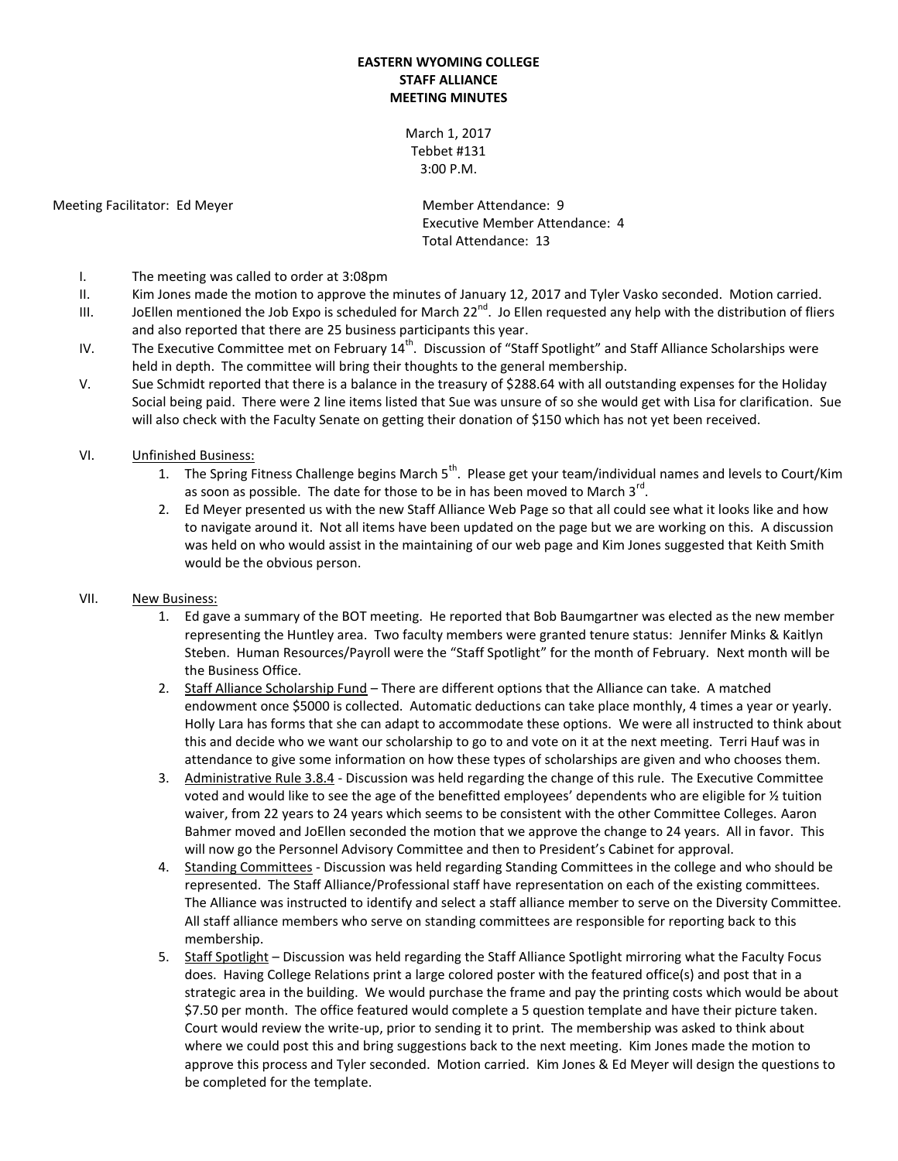## **EASTERN WYOMING COLLEGE STAFF ALLIANCE MEETING MINUTES**

March 1, 2017 Tebbet #131 3:00 P.M.

Meeting Facilitator: Ed Meyer Member Attendance: 9

Executive Member Attendance: 4 Total Attendance: 13

- I. The meeting was called to order at 3:08pm
- II. Kim Jones made the motion to approve the minutes of January 12, 2017 and Tyler Vasko seconded. Motion carried.
- III. JoEllen mentioned the Job Expo is scheduled for March 22<sup>nd</sup>. Jo Ellen requested any help with the distribution of fliers and also reported that there are 25 business participants this year.
- IV. The Executive Committee met on February  $14^{th}$ . Discussion of "Staff Spotlight" and Staff Alliance Scholarships were held in depth. The committee will bring their thoughts to the general membership.
- V. Sue Schmidt reported that there is a balance in the treasury of \$288.64 with all outstanding expenses for the Holiday Social being paid. There were 2 line items listed that Sue was unsure of so she would get with Lisa for clarification. Sue will also check with the Faculty Senate on getting their donation of \$150 which has not yet been received.
- VI. Unfinished Business:
	- 1. The Spring Fitness Challenge begins March 5<sup>th</sup>. Please get your team/individual names and levels to Court/Kim as soon as possible. The date for those to be in has been moved to March 3<sup>rd</sup>.
	- 2. Ed Meyer presented us with the new Staff Alliance Web Page so that all could see what it looks like and how to navigate around it. Not all items have been updated on the page but we are working on this. A discussion was held on who would assist in the maintaining of our web page and Kim Jones suggested that Keith Smith would be the obvious person.
- VII. New Business:
	- 1. Ed gave a summary of the BOT meeting. He reported that Bob Baumgartner was elected as the new member representing the Huntley area. Two faculty members were granted tenure status: Jennifer Minks & Kaitlyn Steben. Human Resources/Payroll were the "Staff Spotlight" for the month of February. Next month will be the Business Office.
	- 2. Staff Alliance Scholarship Fund There are different options that the Alliance can take. A matched endowment once \$5000 is collected. Automatic deductions can take place monthly, 4 times a year or yearly. Holly Lara has forms that she can adapt to accommodate these options. We were all instructed to think about this and decide who we want our scholarship to go to and vote on it at the next meeting. Terri Hauf was in attendance to give some information on how these types of scholarships are given and who chooses them.
	- 3. Administrative Rule 3.8.4 Discussion was held regarding the change of this rule. The Executive Committee voted and would like to see the age of the benefitted employees' dependents who are eligible for ½ tuition waiver, from 22 years to 24 years which seems to be consistent with the other Committee Colleges. Aaron Bahmer moved and JoEllen seconded the motion that we approve the change to 24 years. All in favor. This will now go the Personnel Advisory Committee and then to President's Cabinet for approval.
	- 4. Standing Committees Discussion was held regarding Standing Committees in the college and who should be represented. The Staff Alliance/Professional staff have representation on each of the existing committees. The Alliance was instructed to identify and select a staff alliance member to serve on the Diversity Committee. All staff alliance members who serve on standing committees are responsible for reporting back to this membership.
	- 5. Staff Spotlight Discussion was held regarding the Staff Alliance Spotlight mirroring what the Faculty Focus does. Having College Relations print a large colored poster with the featured office(s) and post that in a strategic area in the building. We would purchase the frame and pay the printing costs which would be about \$7.50 per month. The office featured would complete a 5 question template and have their picture taken. Court would review the write-up, prior to sending it to print. The membership was asked to think about where we could post this and bring suggestions back to the next meeting. Kim Jones made the motion to approve this process and Tyler seconded. Motion carried. Kim Jones & Ed Meyer will design the questions to be completed for the template.